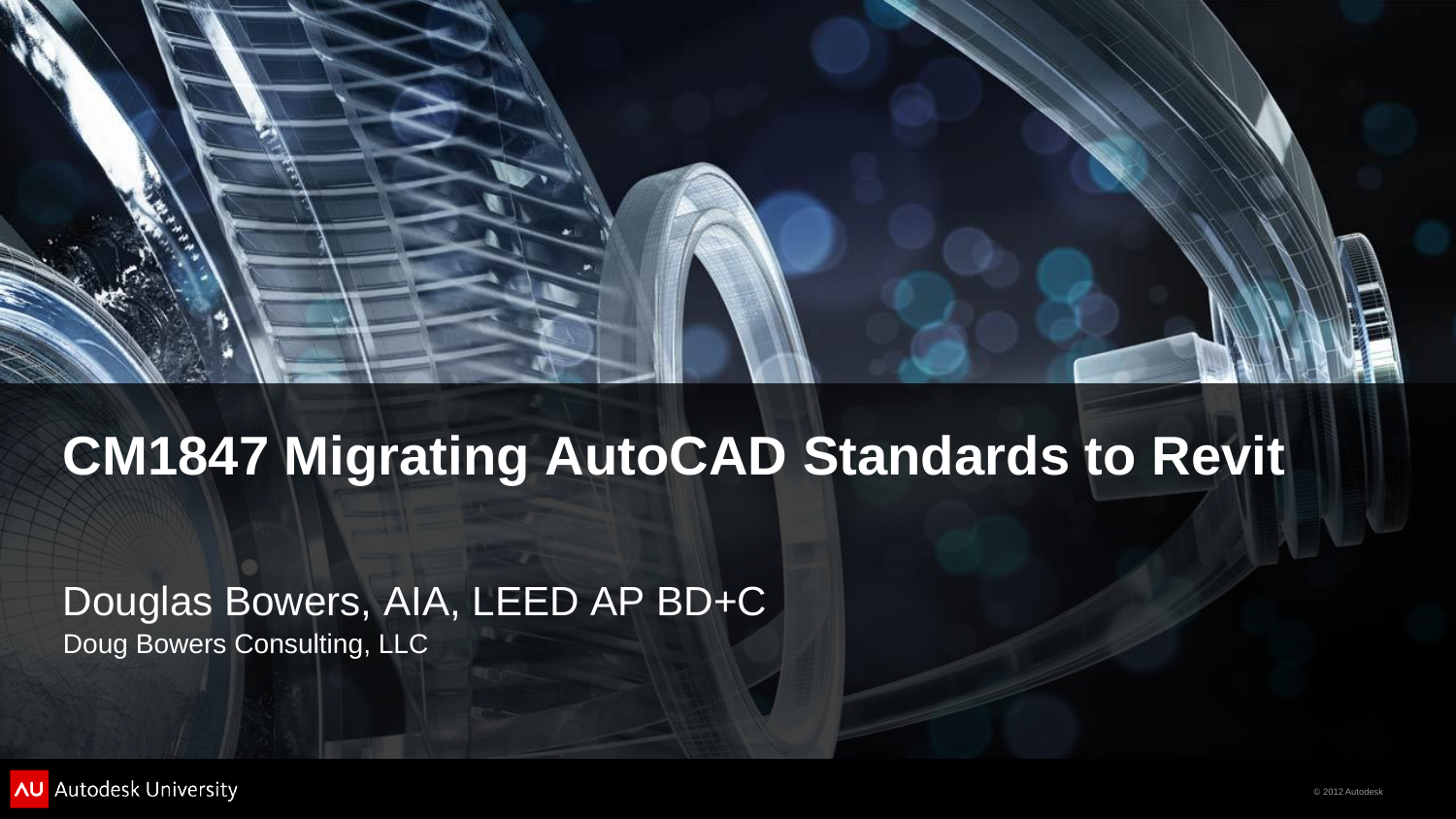



### **CM1847 Migrating AutoCAD Standards to Revit**

Douglas Bowers, AIA, LEED AP BD+C Doug Bowers Consulting, LLC

**AU** Autodesk University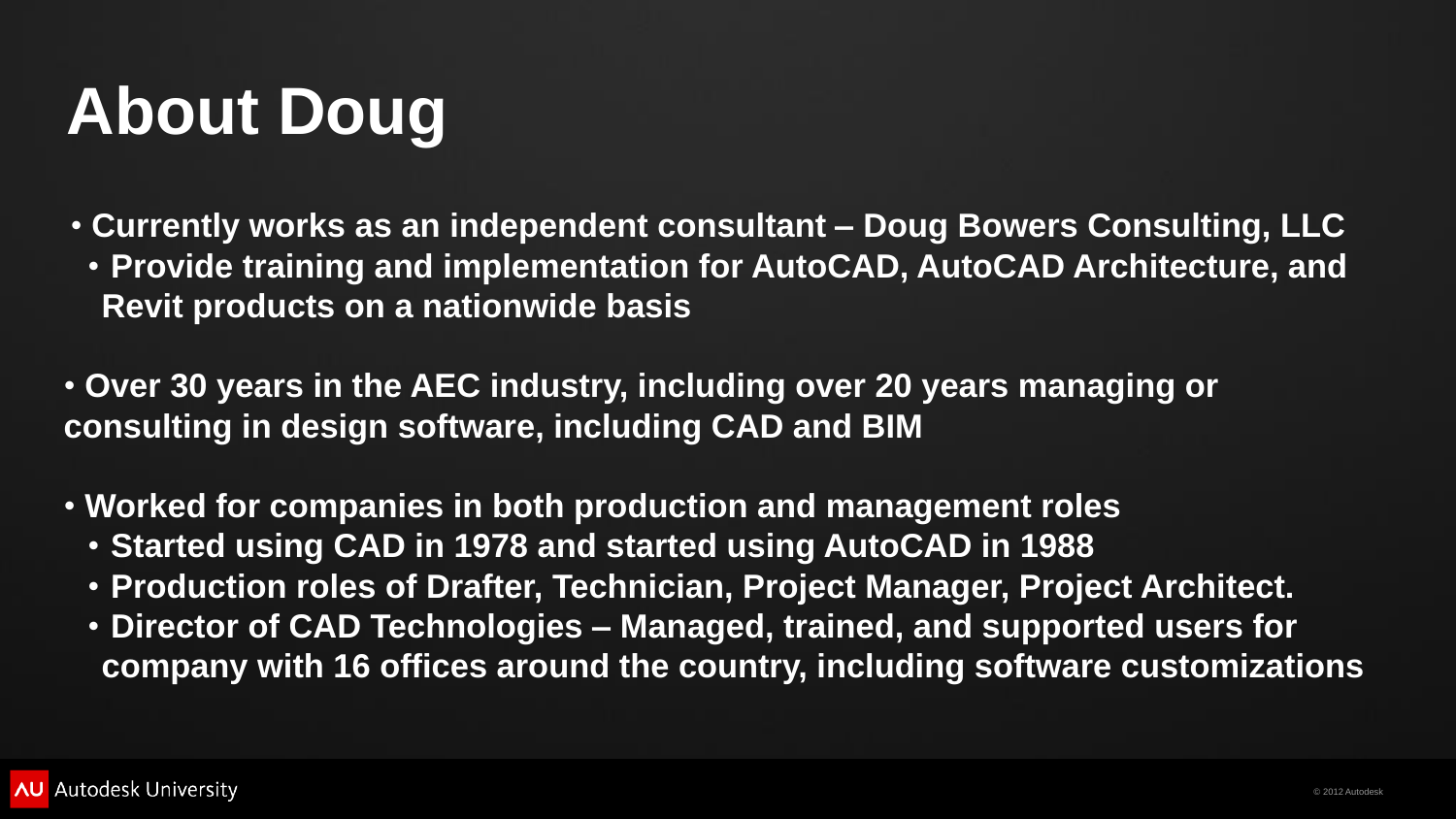

# **About Doug**

• **Currently works as an independent consultant – Doug Bowers Consulting, LLC** • **Provide training and implementation for AutoCAD, AutoCAD Architecture, and** 

- **Revit products on a nationwide basis**
- **Over 30 years in the AEC industry, including over 20 years managing or consulting in design software, including CAD and BIM**
- **Worked for companies in both production and management roles**
	- **Started using CAD in 1978 and started using AutoCAD in 1988**
	-
	-

• **Production roles of Drafter, Technician, Project Manager, Project Architect.** • **Director of CAD Technologies – Managed, trained, and supported users for company with 16 offices around the country, including software customizations**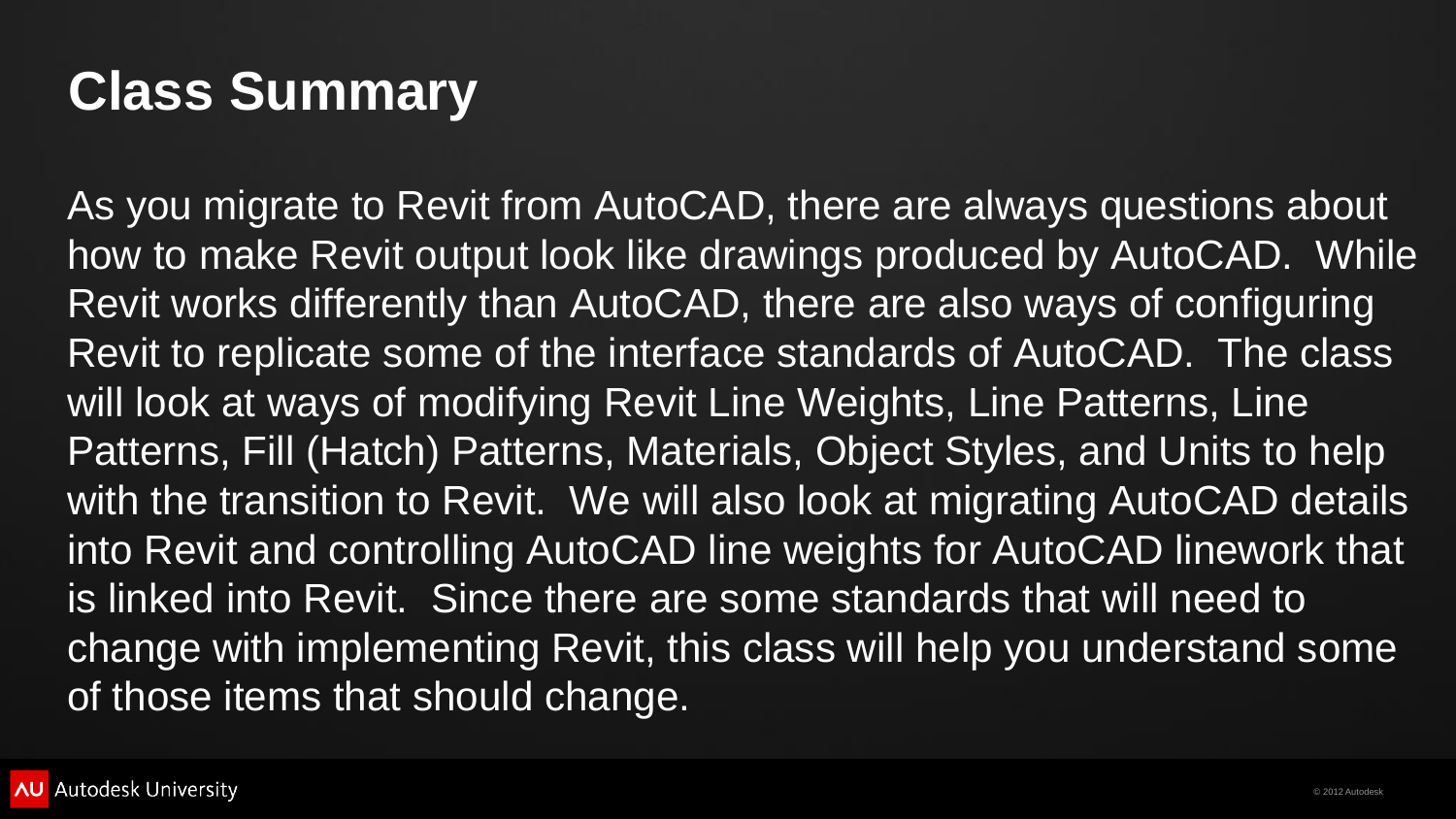

### **Class Summary**

As you migrate to Revit from AutoCAD, there are always questions about how to make Revit output look like drawings produced by AutoCAD. While Revit works differently than AutoCAD, there are also ways of configuring Revit to replicate some of the interface standards of AutoCAD. The class will look at ways of modifying Revit Line Weights, Line Patterns, Line Patterns, Fill (Hatch) Patterns, Materials, Object Styles, and Units to help with the transition to Revit. We will also look at migrating AutoCAD details into Revit and controlling AutoCAD line weights for AutoCAD linework that is linked into Revit. Since there are some standards that will need to change with implementing Revit, this class will help you understand some of those items that should change.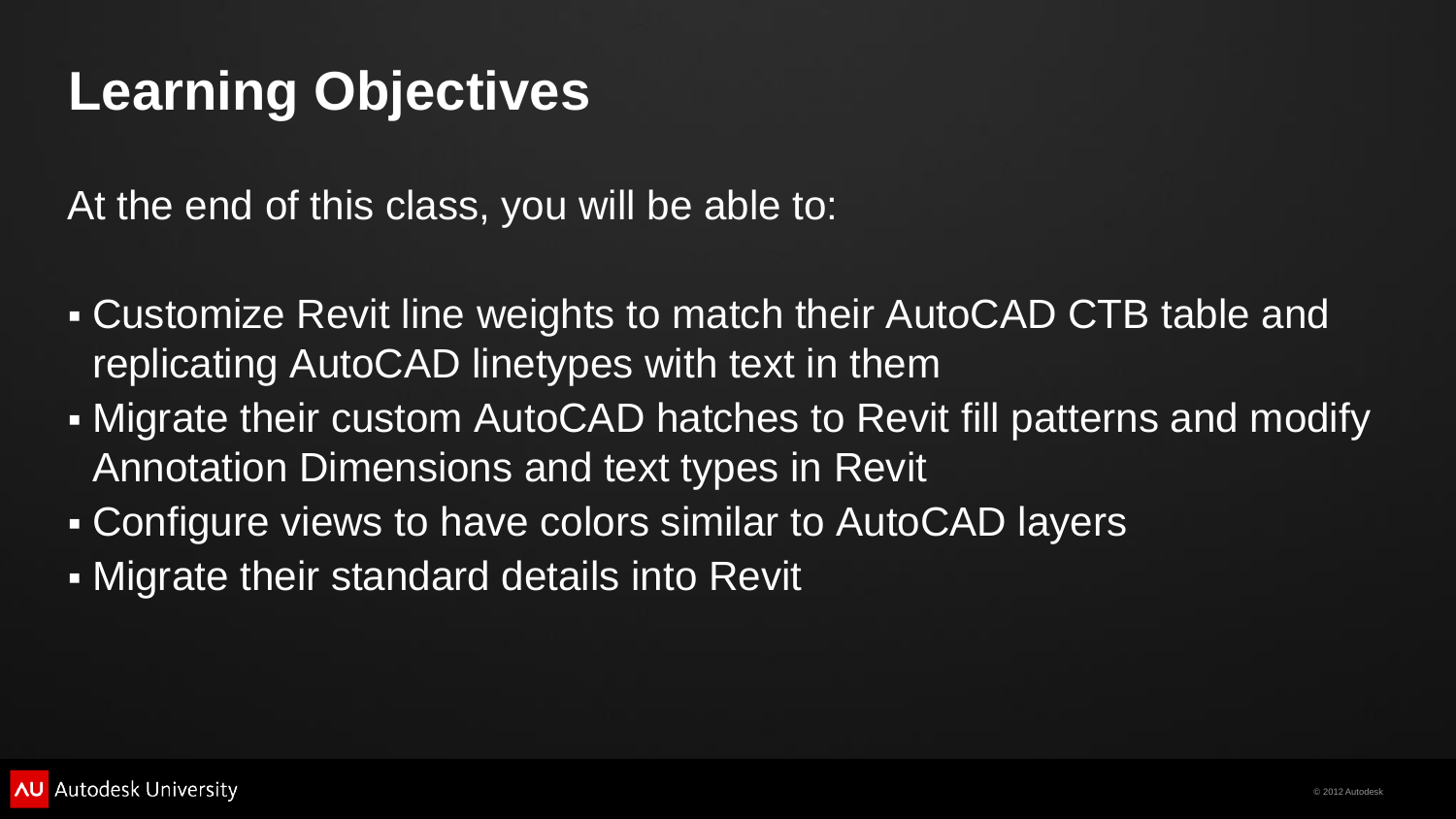

## **Learning Objectives**

At the end of this class, you will be able to:

- Customize Revit line weights to match their AutoCAD CTB table and replicating AutoCAD linetypes with text in them
- Migrate their custom AutoCAD hatches to Revit fill patterns and modify Annotation Dimensions and text types in Revit
- **EXA Configure views to have colors similar to AutoCAD layers**
- Migrate their standard details into Revit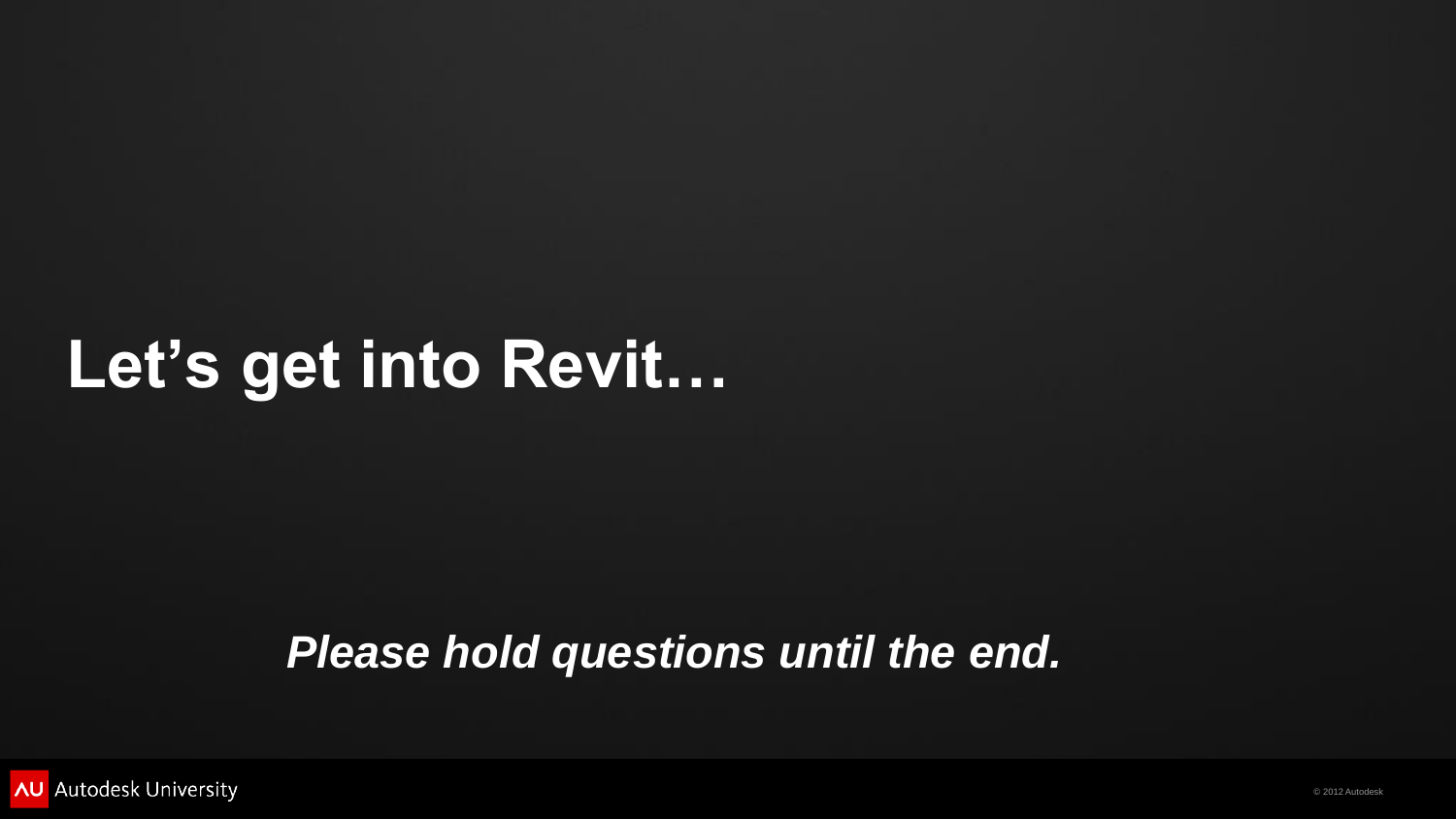

## **Let's get into Revit…**

### *Please hold questions until the end.*

**AU** Autodesk University